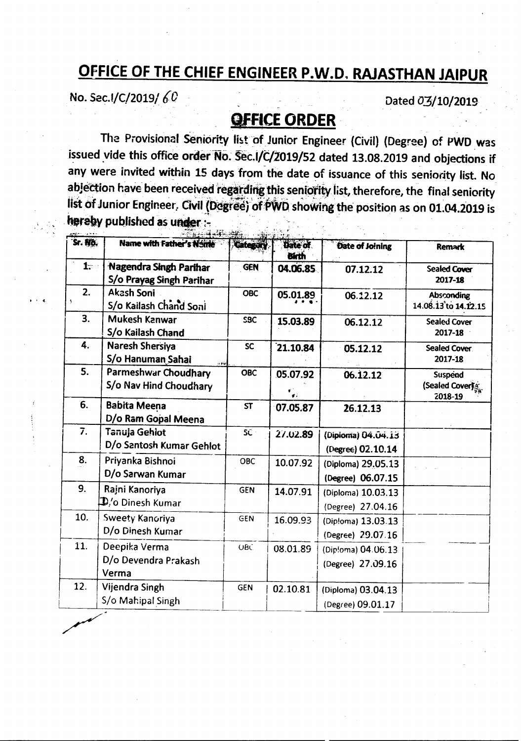## OFFICE OF THE CHIEF ENGINEER P.W.D. RAJASTHAN JAIPUR

No. Sec. 1/C/2019/60

Dated 03/10/2019

## **OFFICE ORDER**

The Provisional Seniority list of Junior Engineer (Civil) (Degree) of PWD was issued vide this office order No. Sec.I/C/2019/52 dated 13.08.2019 and objections if any were invited within 15 days from the date of issuance of this seniority list. No abjection have been received regarding this seniority list, therefore, the final seniority list of Junior Engineer. Civil (Degree) of PWD showing the position as on 01.04.2019 is hereby published as under :-

| Sr. No. | Name with Father's Name                                   | Citerary   | Date of<br>Birth | Date of Joining                         | <b>Remark</b>                             |
|---------|-----------------------------------------------------------|------------|------------------|-----------------------------------------|-------------------------------------------|
| 1.      | Nagendra Singh Parihar<br>S/o Prayag Singh Parihar        | <b>GEN</b> | 04.06.85         | 07.12.12                                | <b>Sealed Cover</b><br>2017-18            |
| 2.      | Akash Soni<br>S/o Kailash Chand Soni                      | <b>OBC</b> | 05.01.89         | 06.12.12                                | <b>Absconding</b><br>14.08.13 to 14.12.15 |
| 3.      | Mukesh Kanwar<br>S/o Kailash Chand                        | SBC        | 15.03.89         | 06.12.12                                | <b>Sealed Cover</b><br>2017-18            |
| 4.      | <b>Naresh Shersiya</b><br>S/o Hanuman Sahai<br>بذبوب      | <b>SC</b>  | 21.10.84         | 05.12.12                                | Sealed Cover<br>2017-18                   |
| 5.      | Parmeshwar Choudhary<br>S/o Nav Hind Choudhary            | <b>OBC</b> | 05.07.92<br>٠.,  | 06.12.12                                | Suspend<br>(Sealed Cover)<br>2018-19      |
| 6.      | <b>Babita Meena</b><br>D/o Ram Gopal Meena                | ST         | 07.05.87         | 26.12.13                                |                                           |
| 7.      | Tanuja Gehiot<br>D/o Santosh Kumar Gehlot                 | SC.        | 27.02.89         | (Diploma) 04.04.13<br>(Degree) 02.10.14 |                                           |
| 8.      | Priyanka Bishnoi<br>D/o Sarwan Kumar                      | OBC        | 10.07.92         | (Diploma) 29.05.13<br>(Degree) 06.07.15 |                                           |
| 9.      | Rajni Kanoriya<br>$\mathbf{\mathfrak{D}}$ /o Dinesh Kumar | <b>GEN</b> | 14.07.91         | (Diploma) 10.03.13<br>(Degree) 27.04.16 |                                           |
| 10.     | Sweety Kanoriya<br>D/o Dinesh Kumar                       | GEN        | 16.09.93         | (Diploma) 13.03.13<br>(Degree) 29.07.16 |                                           |
| 11.     | Deepika Verma<br>D/o Devendra Prakash<br>Verma            | <b>OBC</b> | 08.01.89         | (Dip!oma) 04.06.13<br>(Degree) 27.09.16 |                                           |
| 12.     | Vijendra Singh<br>S/o Mahipal Singh                       | <b>GEN</b> | 02.10.81         | (Diploma) 03.04.13<br>(Degree) 09.01.17 |                                           |